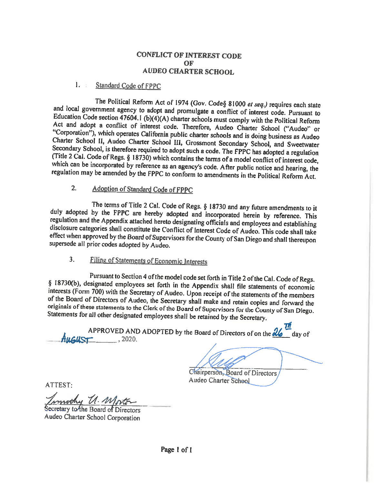# **CONFLICT OF INTEREST CODE** OF **AUDEO CHARTER SCHOOL**

#### $\mathbf{I}_{\mathbf{a}}$  and Standard Code of FPPC

The Political Reform Act of 1974 (Gov. Code§ 81000 et seq.) requires each state and local government agency to adopt and promulgate a conflict of interest code. Pursuant to Education Code section 47604.1 (b)(4)(A) charter schools must comply with the Political Reform Act and adopt a conflict of interest code. Therefore, Audeo Charter School ("Audeo" or "Corporation"), which operates California public charter schools and is doing business as Audeo Charter School II, Audeo Charter School III, Grossmont Secondary School, and Sweetwater Secondary School, is therefore required to adopt such a code. The FPPC has adopted a regulation (Title 2 Cal. Code of Regs. § 18730) which contains the terms of a model conflict of interest code, which can be incorporated by reference as an agency's code. After public notice and hearing, the regulation may be amended by the FPPC to conform to amendments in the Political Reform Act.

#### $2.$ Adoption of Standard Code of FPPC

The terms of Title 2 Cal. Code of Regs. § 18730 and any future amendments to it duly adopted by the FPPC are hereby adopted and incorporated herein by reference. This regulation and the Appendix attached hereto designating officials and employees and establishing disclosure categories shall constitute the Conflict of Interest Code of Audeo. This code shall take effect when approved by the Board of Supervisors for the County of San Diego and shall thereupon supersede all prior codes adopted by Audeo.

#### Filing of Statements of Economic Interests  $3.$

Pursuant to Section 4 of the model code set forth in Title 2 of the Cal. Code of Regs. § 18730(b), designated employees set forth in the Appendix shall file statements of economic interests (Form 700) with the Secretary of Audeo. Upon receipt of the statements of the members of the Board of Directors of Audeo, the Secretary shall make and retain copies and forward the originals of these statements to the Clerk of the Board of Supervisors for the County of San Diego. Statements for all other designated employees shall be retained by the Secretary.

|                         | APPROVED AND ADOPTED by the Board of Directors of on the $\frac{\partial U}{\partial x}$ day of |  |
|-------------------------|-------------------------------------------------------------------------------------------------|--|
| $A \mu G U S T$ , 2020. |                                                                                                 |  |

Chairperson, Board of Directors Audeo Charter School

كوري

ATTEST:

worky U. Morton

Secretary to the Board of Directors Audeo Charter School Corporation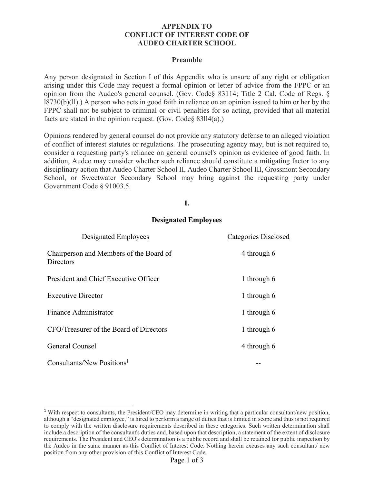## **APPENDIX TO CONFLICT OF INTEREST CODE OF AUDEO CHARTER SCHOOL**

#### **Preamble**

Any person designated in Section I of this Appendix who is unsure of any right or obligation arising under this Code may request a formal opinion or letter of advice from the FPPC or an opinion from the Audeo's general counsel. (Gov. Code§ 83114; Title 2 Cal. Code of Regs. § l8730(b)(ll).) A person who acts in good faith in reliance on an opinion issued to him or her by the FPPC shall not be subject to criminal or civil penalties for so acting, provided that all material facts are stated in the opinion request. (Gov. Code§ 83ll4(a).)

Opinions rendered by general counsel do not provide any statutory defense to an alleged violation of conflict of interest statutes or regulations. The prosecuting agency may, but is not required to, consider a requesting party's reliance on general counsel's opinion as evidence of good faith. In addition, Audeo may consider whether such reliance should constitute a mitigating factor to any disciplinary action that Audeo Charter School II, Audeo Charter School III, Grossmont Secondary School, or Sweetwater Secondary School may bring against the requesting party under Government Code § 91003.5.

### **I.**

#### **Designated Employees**

| Designated Employees                                 | Categories Disclosed |
|------------------------------------------------------|----------------------|
| Chairperson and Members of the Board of<br>Directors | 4 through 6          |
| President and Chief Executive Officer                | 1 through $6$        |
| <b>Executive Director</b>                            | 1 through 6          |
| Finance Administrator                                | 1 through 6          |
| CFO/Treasurer of the Board of Directors              | 1 through 6          |
| General Counsel                                      | 4 through 6          |
| Consultants/New Positions <sup>1</sup>               |                      |

<sup>1</sup> With respect to consultants, the President/CEO may determine in writing that a particular consultant/new position, although a "designated employee," is hired to perform a range of duties that is limited in scope and thus is not required to comply with the written disclosure requirements described in these categories. Such written determination shall include a description of the consultant's duties and, based upon that description, a statement of the extent of disclosure requirements. The President and CEO's determination is a public record and shall be retained for public inspection by the Audeo in the same manner as this Conflict of Interest Code. Nothing herein excuses any such consultant/ new position from any other provision of this Conflict of Interest Code.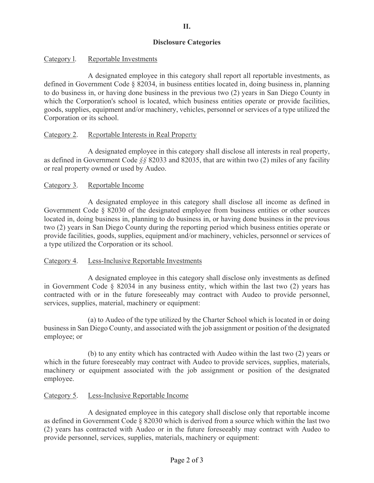### **Disclosure Categories**

### Category l. Reportable Investments

A designated employee in this category shall report all reportable investments, as defined in Government Code § 82034, in business entities located in, doing business in, planning to do business in, or having done business in the previous two (2) years in San Diego County in which the Corporation's school is located, which business entities operate or provide facilities, goods, supplies, equipment and/or machinery, vehicles, personnel or services of a type utilized the Corporation or its school.

#### Category 2. Reportable Interests in Real Property

A designated employee in this category shall disclose all interests in real property, as defined in Government Code *§§* 82033 and 82035, that are within two (2) miles of any facility or real property owned or used by Audeo.

#### Category 3. Reportable Income

A designated employee in this category shall disclose all income as defined in Government Code § 82030 of the designated employee from business entities or other sources located in, doing business in, planning to do business in, or having done business in the previous two (2) years in San Diego County during the reporting period which business entities operate or provide facilities, goods, supplies, equipment and/or machinery, vehicles, personnel or services of a type utilized the Corporation or its school.

## Category 4. Less-Inclusive Reportable Investments

A designated employee in this category shall disclose only investments as defined in Government Code § 82034 in any business entity, which within the last two (2) years has contracted with or in the future foreseeably may contract with Audeo to provide personnel, services, supplies, material, machinery or equipment:

(a) to Audeo of the type utilized by the Charter School which is located in or doing business in San Diego County, and associated with the job assignment or position of the designated employee; or

(b) to any entity which has contracted with Audeo within the last two (2) years or which in the future foreseeably may contract with Audeo to provide services, supplies, materials, machinery or equipment associated with the job assignment or position of the designated employee.

## Category 5. Less-Inclusive Reportable Income

A designated employee in this category shall disclose only that reportable income as defined in Government Code § 82030 which is derived from a source which within the last two (2) years has contracted with Audeo or in the future foreseeably may contract with Audeo to provide personnel, services, supplies, materials, machinery or equipment: